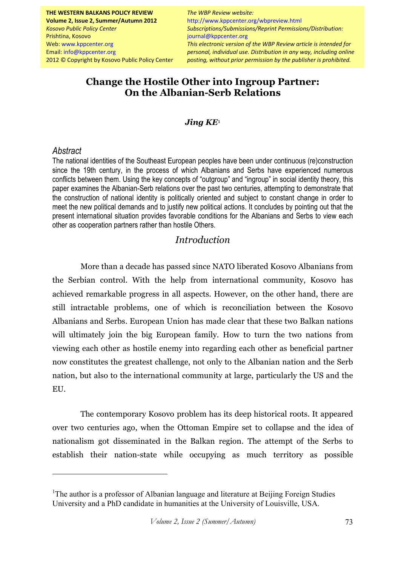**THE WESTERN BALKANS POLICY REVIEW Volume 2, Issue 2, Summer/Autumn 2012**  *Kosovo Public Policy Center*  Prishtina, Kosovo Web: www.kppcenter.org Email: info@kppcenter.org 2012 © Copyright by Kosovo Public Policy Center

*Jing KE personal, individual use. Distribution in any way, including online The WBP Review website:* http://www.kppcenter.org/wbpreview.html *Subscriptions/Submissions/Reprint Permissions/Distribution:*  journal@kppcenter.org *This electronic version of the WBP Review article is intended for posting, without prior permission by the publisher is prohibited.*

# **Change the Hostile Other into Ingroup Partner: On the Albanian-Serb Relations**

#### *Jing KE*<sup>1</sup>

#### *Abstract*

 $\overline{a}$ 

The national identities of the Southeast European peoples have been under continuous (re)construction since the 19th century, in the process of which Albanians and Serbs have experienced numerous conflicts between them. Using the key concepts of "outgroup" and "ingroup" in social identity theory, this paper examines the Albanian-Serb relations over the past two centuries, attempting to demonstrate that the construction of national identity is politically oriented and subject to constant change in order to meet the new political demands and to justify new political actions. It concludes by pointing out that the present international situation provides favorable conditions for the Albanians and Serbs to view each other as cooperation partners rather than hostile Others.

### *Introduction*

More than a decade has passed since NATO liberated Kosovo Albanians from the Serbian control. With the help from international community, Kosovo has achieved remarkable progress in all aspects. However, on the other hand, there are still intractable problems, one of which is reconciliation between the Kosovo Albanians and Serbs. European Union has made clear that these two Balkan nations will ultimately join the big European family. How to turn the two nations from viewing each other as hostile enemy into regarding each other as beneficial partner now constitutes the greatest challenge, not only to the Albanian nation and the Serb nation, but also to the international community at large, particularly the US and the EU.

The contemporary Kosovo problem has its deep historical roots. It appeared over two centuries ago, when the Ottoman Empire set to collapse and the idea of nationalism got disseminated in the Balkan region. The attempt of the Serbs to establish their nation-state while occupying as much territory as possible

<sup>&</sup>lt;sup>1</sup>The author is a professor of Albanian language and literature at Beijing Foreign Studies University and a PhD candidate in humanities at the University of Louisville, USA.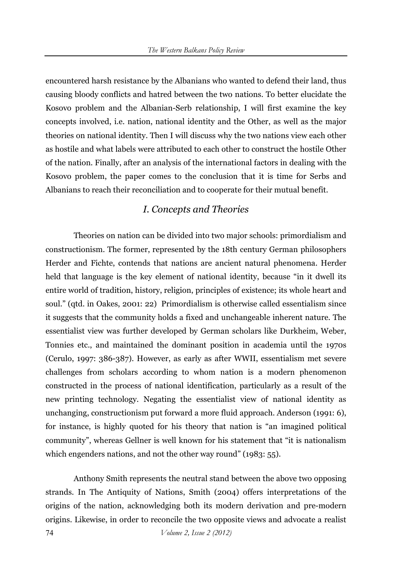encountered harsh resistance by the Albanians who wanted to defend their land, thus causing bloody conflicts and hatred between the two nations. To better elucidate the Kosovo problem and the Albanian-Serb relationship, I will first examine the key concepts involved, i.e. nation, national identity and the Other, as well as the major theories on national identity. Then I will discuss why the two nations view each other as hostile and what labels were attributed to each other to construct the hostile Other of the nation. Finally, after an analysis of the international factors in dealing with the Kosovo problem, the paper comes to the conclusion that it is time for Serbs and Albanians to reach their reconciliation and to cooperate for their mutual benefit.

### *I. Concepts and Theories*

Theories on nation can be divided into two major schools: primordialism and constructionism. The former, represented by the 18th century German philosophers Herder and Fichte, contends that nations are ancient natural phenomena. Herder held that language is the key element of national identity, because "in it dwell its entire world of tradition, history, religion, principles of existence; its whole heart and soul." (qtd. in Oakes, 2001: 22) Primordialism is otherwise called essentialism since it suggests that the community holds a fixed and unchangeable inherent nature. The essentialist view was further developed by German scholars like Durkheim, Weber, Tonnies etc., and maintained the dominant position in academia until the 1970s (Cerulo, 1997: 386-387). However, as early as after WWII, essentialism met severe challenges from scholars according to whom nation is a modern phenomenon constructed in the process of national identification, particularly as a result of the new printing technology. Negating the essentialist view of national identity as unchanging, constructionism put forward a more fluid approach. Anderson (1991: 6), for instance, is highly quoted for his theory that nation is "an imagined political community", whereas Gellner is well known for his statement that "it is nationalism which engenders nations, and not the other way round" (1983: 55).

Anthony Smith represents the neutral stand between the above two opposing strands. In The Antiquity of Nations, Smith (2004) offers interpretations of the origins of the nation, acknowledging both its modern derivation and pre-modern origins. Likewise, in order to reconcile the two opposite views and advocate a realist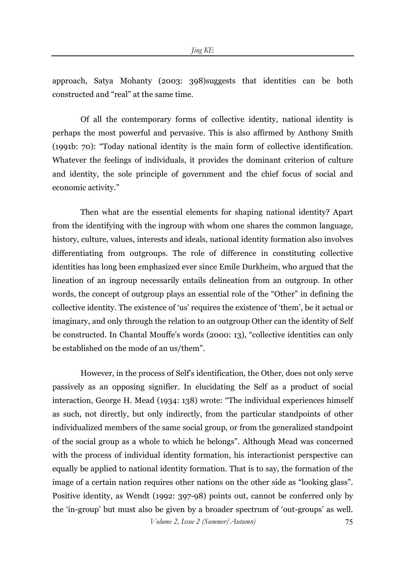approach, Satya Mohanty (2003: 398)suggests that identities can be both constructed and "real" at the same time.

Of all the contemporary forms of collective identity, national identity is perhaps the most powerful and pervasive. This is also affirmed by Anthony Smith (1991b: 70): "Today national identity is the main form of collective identification. Whatever the feelings of individuals, it provides the dominant criterion of culture and identity, the sole principle of government and the chief focus of social and economic activity."

Then what are the essential elements for shaping national identity? Apart from the identifying with the ingroup with whom one shares the common language, history, culture, values, interests and ideals, national identity formation also involves differentiating from outgroups. The role of difference in constituting collective identities has long been emphasized ever since Emile Durkheim, who argued that the lineation of an ingroup necessarily entails delineation from an outgroup. In other words, the concept of outgroup plays an essential role of the "Other" in defining the collective identity. The existence of 'us' requires the existence of 'them', be it actual or imaginary, and only through the relation to an outgroup Other can the identity of Self be constructed. In Chantal Mouffe's words (2000: 13), "collective identities can only be established on the mode of an us/them".

However, in the process of Self's identification, the Other, does not only serve passively as an opposing signifier. In elucidating the Self as a product of social interaction, George H. Mead (1934: 138) wrote: "The individual experiences himself as such, not directly, but only indirectly, from the particular standpoints of other individualized members of the same social group, or from the generalized standpoint of the social group as a whole to which he belongs". Although Mead was concerned with the process of individual identity formation, his interactionist perspective can equally be applied to national identity formation. That is to say, the formation of the image of a certain nation requires other nations on the other side as "looking glass". Positive identity, as Wendt (1992: 397-98) points out, cannot be conferred only by the 'in-group' but must also be given by a broader spectrum of 'out-groups' as well.

*Volume 2, Issue 2 (Summer/Autumn)* 75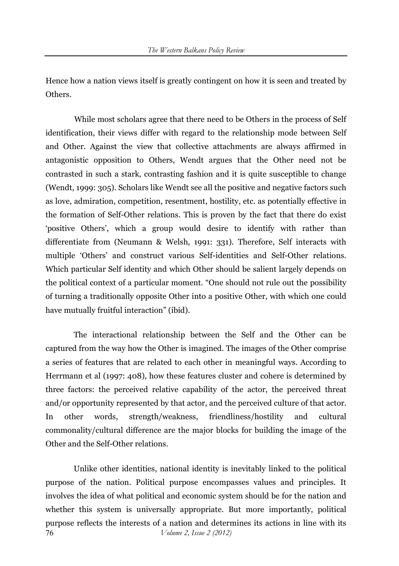Hence how a nation views itself is greatly contingent on how it is seen and treated by Others.

 While most scholars agree that there need to be Others in the process of Self identification, their views differ with regard to the relationship mode between Self and Other. Against the view that collective attachments are always affirmed in antagonistic opposition to Others, Wendt argues that the Other need not be contrasted in such a stark, contrasting fashion and it is quite susceptible to change (Wendt, 1999: 305). Scholars like Wendt see all the positive and negative factors such as love, admiration, competition, resentment, hostility, etc. as potentially effective in the formation of Self-Other relations. This is proven by the fact that there do exist 'positive Others', which a group would desire to identify with rather than differentiate from (Neumann & Welsh, 1991: 331). Therefore, Self interacts with multiple 'Others' and construct various Self-identities and Self-Other relations. Which particular Self identity and which Other should be salient largely depends on the political context of a particular moment. "One should not rule out the possibility of turning a traditionally opposite Other into a positive Other, with which one could have mutually fruitful interaction" (ibid).

The interactional relationship between the Self and the Other can be captured from the way how the Other is imagined. The images of the Other comprise a series of features that are related to each other in meaningful ways. According to Herrmann et al (1997: 408), how these features cluster and cohere is determined by three factors: the perceived relative capability of the actor, the perceived threat and/or opportunity represented by that actor, and the perceived culture of that actor. In other words, strength/weakness, friendliness/hostility and cultural commonality/cultural difference are the major blocks for building the image of the Other and the Self-Other relations.

76 *Volume 2, Issue 2 (2012)*  Unlike other identities, national identity is inevitably linked to the political purpose of the nation. Political purpose encompasses values and principles. It involves the idea of what political and economic system should be for the nation and whether this system is universally appropriate. But more importantly, political purpose reflects the interests of a nation and determines its actions in line with its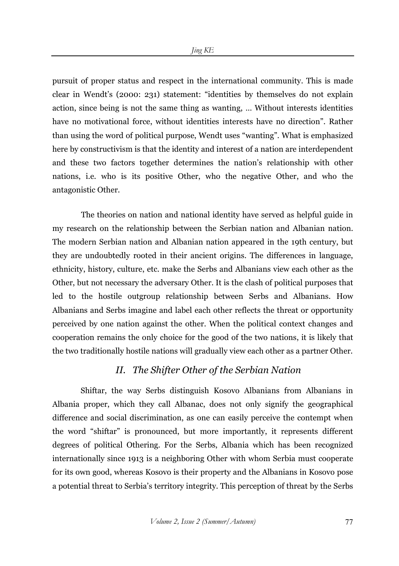pursuit of proper status and respect in the international community. This is made clear in Wendt's (2000: 231) statement: "identities by themselves do not explain action, since being is not the same thing as wanting, … Without interests identities have no motivational force, without identities interests have no direction". Rather than using the word of political purpose, Wendt uses "wanting". What is emphasized here by constructivism is that the identity and interest of a nation are interdependent and these two factors together determines the nation's relationship with other nations, i.e. who is its positive Other, who the negative Other, and who the antagonistic Other.

 The theories on nation and national identity have served as helpful guide in my research on the relationship between the Serbian nation and Albanian nation. The modern Serbian nation and Albanian nation appeared in the 19th century, but they are undoubtedly rooted in their ancient origins. The differences in language, ethnicity, history, culture, etc. make the Serbs and Albanians view each other as the Other, but not necessary the adversary Other. It is the clash of political purposes that led to the hostile outgroup relationship between Serbs and Albanians. How Albanians and Serbs imagine and label each other reflects the threat or opportunity perceived by one nation against the other. When the political context changes and cooperation remains the only choice for the good of the two nations, it is likely that the two traditionally hostile nations will gradually view each other as a partner Other.

### *II. The Shifter Other of the Serbian Nation*

Shiftar, the way Serbs distinguish Kosovo Albanians from Albanians in Albania proper, which they call Albanac, does not only signify the geographical difference and social discrimination, as one can easily perceive the contempt when the word "shiftar" is pronounced, but more importantly, it represents different degrees of political Othering. For the Serbs, Albania which has been recognized internationally since 1913 is a neighboring Other with whom Serbia must cooperate for its own good, whereas Kosovo is their property and the Albanians in Kosovo pose a potential threat to Serbia's territory integrity. This perception of threat by the Serbs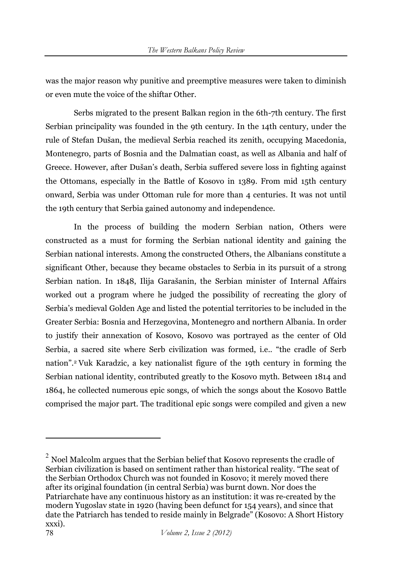was the major reason why punitive and preemptive measures were taken to diminish or even mute the voice of the shiftar Other.

Serbs migrated to the present Balkan region in the 6th-7th century. The first Serbian principality was founded in the 9th century. In the 14th century, under the rule of Stefan Dušan, the medieval Serbia reached its zenith, occupying Macedonia, Montenegro, parts of Bosnia and the Dalmatian coast, as well as Albania and half of Greece. However, after Dušan's death, Serbia suffered severe loss in fighting against the Ottomans, especially in the Battle of Kosovo in 1389. From mid 15th century onward, Serbia was under Ottoman rule for more than 4 centuries. It was not until the 19th century that Serbia gained autonomy and independence.

In the process of building the modern Serbian nation, Others were constructed as a must for forming the Serbian national identity and gaining the Serbian national interests. Among the constructed Others, the Albanians constitute a significant Other, because they became obstacles to Serbia in its pursuit of a strong Serbian nation. In 1848, Ilija Garašanin, the Serbian minister of Internal Affairs worked out a program where he judged the possibility of recreating the glory of Serbia's medieval Golden Age and listed the potential territories to be included in the Greater Serbia: Bosnia and Herzegovina, Montenegro and northern Albania. In order to justify their annexation of Kosovo, Kosovo was portrayed as the center of Old Serbia, a sacred site where Serb civilization was formed, i.e.. "the cradle of Serb nation".2 Vuk Karadzic, a key nationalist figure of the 19th century in forming the Serbian national identity, contributed greatly to the Kosovo myth. Between 1814 and 1864, he collected numerous epic songs, of which the songs about the Kosovo Battle comprised the major part. The traditional epic songs were compiled and given a new

 $\overline{a}$ 

 $2$  Noel Malcolm argues that the Serbian belief that Kosovo represents the cradle of Serbian civilization is based on sentiment rather than historical reality. "The seat of the Serbian Orthodox Church was not founded in Kosovo; it merely moved there after its original foundation (in central Serbia) was burnt down. Nor does the Patriarchate have any continuous history as an institution: it was re-created by the modern Yugoslav state in 1920 (having been defunct for 154 years), and since that date the Patriarch has tended to reside mainly in Belgrade" (Kosovo: A Short History xxxi).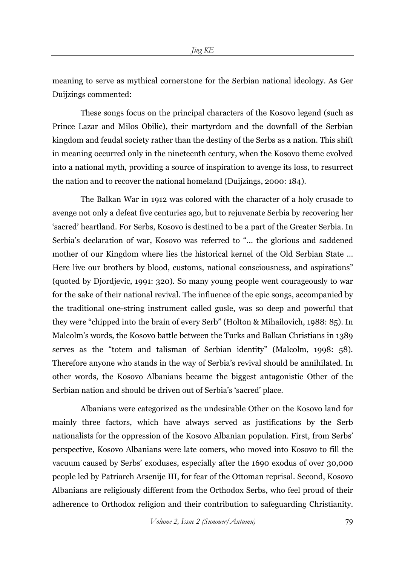meaning to serve as mythical cornerstone for the Serbian national ideology. As Ger Duijzings commented:

These songs focus on the principal characters of the Kosovo legend (such as Prince Lazar and Milos Obilic), their martyrdom and the downfall of the Serbian kingdom and feudal society rather than the destiny of the Serbs as a nation. This shift in meaning occurred only in the nineteenth century, when the Kosovo theme evolved into a national myth, providing a source of inspiration to avenge its loss, to resurrect the nation and to recover the national homeland (Duijzings, 2000: 184).

The Balkan War in 1912 was colored with the character of a holy crusade to avenge not only a defeat five centuries ago, but to rejuvenate Serbia by recovering her 'sacred' heartland. For Serbs, Kosovo is destined to be a part of the Greater Serbia. In Serbia's declaration of war, Kosovo was referred to "… the glorious and saddened mother of our Kingdom where lies the historical kernel of the Old Serbian State … Here live our brothers by blood, customs, national consciousness, and aspirations" (quoted by Djordjevic, 1991: 320). So many young people went courageously to war for the sake of their national revival. The influence of the epic songs, accompanied by the traditional one-string instrument called gusle, was so deep and powerful that they were "chipped into the brain of every Serb" (Holton & Mihailovich, 1988: 85). In Malcolm's words, the Kosovo battle between the Turks and Balkan Christians in 1389 serves as the "totem and talisman of Serbian identity" (Malcolm, 1998: 58). Therefore anyone who stands in the way of Serbia's revival should be annihilated. In other words, the Kosovo Albanians became the biggest antagonistic Other of the Serbian nation and should be driven out of Serbia's 'sacred' place.

Albanians were categorized as the undesirable Other on the Kosovo land for mainly three factors, which have always served as justifications by the Serb nationalists for the oppression of the Kosovo Albanian population. First, from Serbs' perspective, Kosovo Albanians were late comers, who moved into Kosovo to fill the vacuum caused by Serbs' exoduses, especially after the 1690 exodus of over 30,000 people led by Patriarch Arsenije III, for fear of the Ottoman reprisal. Second, Kosovo Albanians are religiously different from the Orthodox Serbs, who feel proud of their adherence to Orthodox religion and their contribution to safeguarding Christianity.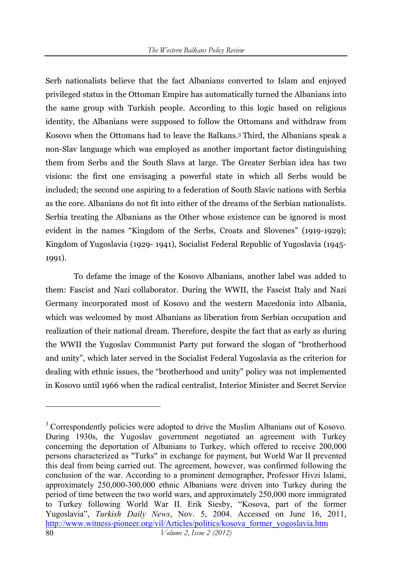Serb nationalists believe that the fact Albanians converted to Islam and enjoyed privileged status in the Ottoman Empire has automatically turned the Albanians into the same group with Turkish people. According to this logic based on religious identity, the Albanians were supposed to follow the Ottomans and withdraw from Kosovo when the Ottomans had to leave the Balkans.3 Third, the Albanians speak a non-Slav language which was employed as another important factor distinguishing them from Serbs and the South Slavs at large. The Greater Serbian idea has two visions: the first one envisaging a powerful state in which all Serbs would be included; the second one aspiring to a federation of South Slavic nations with Serbia as the core. Albanians do not fit into either of the dreams of the Serbian nationalists. Serbia treating the Albanians as the Other whose existence can be ignored is most evident in the names "Kingdom of the Serbs, Croats and Slovenes" (1919-1929); Kingdom of Yugoslavia (1929- 1941), Socialist Federal Republic of Yugoslavia (1945- 1991).

To defame the image of the Kosovo Albanians, another label was added to them: Fascist and Nazi collaborator. During the WWII, the Fascist Italy and Nazi Germany incorporated most of Kosovo and the western Macedonia into Albania, which was welcomed by most Albanians as liberation from Serbian occupation and realization of their national dream. Therefore, despite the fact that as early as during the WWII the Yugoslav Communist Party put forward the slogan of "brotherhood and unity", which later served in the Socialist Federal Yugoslavia as the criterion for dealing with ethnic issues, the "brotherhood and unity" policy was not implemented in Kosovo until 1966 when the radical centralist, Interior Minister and Secret Service

 $\overline{a}$ 

<sup>80</sup> *Volume 2, Issue 2 (2012)*  <sup>3</sup> Correspondently policies were adopted to drive the Muslim Albanians out of Kosovo. During 1930s, the Yugoslav government negotiated an agreement with Turkey concerning the deportation of Albanians to Turkey, which offered to receive 200,000 persons characterized as "Turks" in exchange for payment, but World War II prevented this deal from being carried out. The agreement, however, was confirmed following the conclusion of the war. According to a prominent demographer, Professor Hivzi Islami, approximately 250,000-300,000 ethnic Albanians were driven into Turkey during the period of time between the two world wars, and approximately 250,000 more immigrated to Turkey following World War II. Erik Siesby, "Kosova, part of the former Yugoslavia", *Turkish Daily News*, Nov. 5, 2004. Accessed on June 16, 2011, http://www.witness-pioneer.org/vil/Articles/politics/kosova\_former\_yogoslavia.htm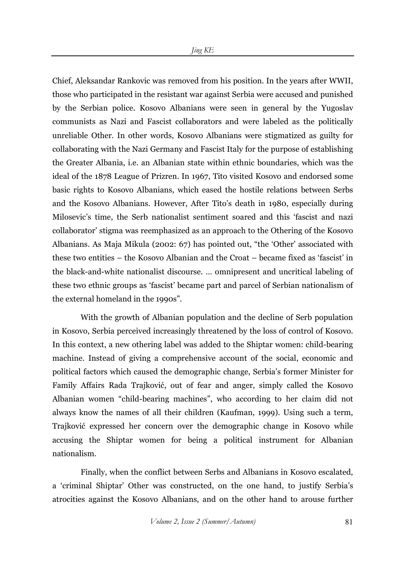Chief, Aleksandar Rankovic was removed from his position. In the years after WWII, those who participated in the resistant war against Serbia were accused and punished by the Serbian police. Kosovo Albanians were seen in general by the Yugoslav communists as Nazi and Fascist collaborators and were labeled as the politically unreliable Other. In other words, Kosovo Albanians were stigmatized as guilty for collaborating with the Nazi Germany and Fascist Italy for the purpose of establishing the Greater Albania, i.e. an Albanian state within ethnic boundaries, which was the ideal of the 1878 League of Prizren. In 1967, Tito visited Kosovo and endorsed some basic rights to Kosovo Albanians, which eased the hostile relations between Serbs and the Kosovo Albanians. However, After Tito's death in 1980, especially during Milosevic's time, the Serb nationalist sentiment soared and this 'fascist and nazi collaborator' stigma was reemphasized as an approach to the Othering of the Kosovo Albanians. As Maja Mikula (2002: 67) has pointed out, "the 'Other' associated with these two entities – the Kosovo Albanian and the Croat – became fixed as 'fascist' in the black-and-white nationalist discourse. … omnipresent and uncritical labeling of these two ethnic groups as 'fascist' became part and parcel of Serbian nationalism of the external homeland in the 1990s".

With the growth of Albanian population and the decline of Serb population in Kosovo, Serbia perceived increasingly threatened by the loss of control of Kosovo. In this context, a new othering label was added to the Shiptar women: child-bearing machine. Instead of giving a comprehensive account of the social, economic and political factors which caused the demographic change, Serbia's former Minister for Family Affairs Rada Trajković, out of fear and anger, simply called the Kosovo Albanian women "child-bearing machines", who according to her claim did not always know the names of all their children (Kaufman, 1999). Using such a term, Trajković expressed her concern over the demographic change in Kosovo while accusing the Shiptar women for being a political instrument for Albanian nationalism.

Finally, when the conflict between Serbs and Albanians in Kosovo escalated, a 'criminal Shiptar' Other was constructed, on the one hand, to justify Serbia's atrocities against the Kosovo Albanians, and on the other hand to arouse further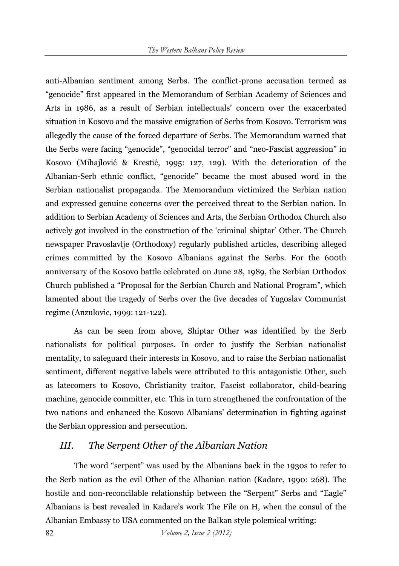anti-Albanian sentiment among Serbs. The conflict-prone accusation termed as "genocide" first appeared in the Memorandum of Serbian Academy of Sciences and Arts in 1986, as a result of Serbian intellectuals' concern over the exacerbated situation in Kosovo and the massive emigration of Serbs from Kosovo. Terrorism was allegedly the cause of the forced departure of Serbs. The Memorandum warned that the Serbs were facing "genocide", "genocidal terror" and "neo-Fascist aggression" in Kosovo (Mihajlović & Krestić, 1995: 127, 129). With the deterioration of the Albanian-Serb ethnic conflict, "genocide" became the most abused word in the Serbian nationalist propaganda. The Memorandum victimized the Serbian nation and expressed genuine concerns over the perceived threat to the Serbian nation. In addition to Serbian Academy of Sciences and Arts, the Serbian Orthodox Church also actively got involved in the construction of the 'criminal shiptar' Other. The Church newspaper Pravoslavlje (Orthodoxy) regularly published articles, describing alleged crimes committed by the Kosovo Albanians against the Serbs. For the 600th anniversary of the Kosovo battle celebrated on June 28, 1989, the Serbian Orthodox Church published a "Proposal for the Serbian Church and National Program", which lamented about the tragedy of Serbs over the five decades of Yugoslav Communist regime (Anzulovic, 1999: 121-122).

As can be seen from above, Shiptar Other was identified by the Serb nationalists for political purposes. In order to justify the Serbian nationalist mentality, to safeguard their interests in Kosovo, and to raise the Serbian nationalist sentiment, different negative labels were attributed to this antagonistic Other, such as latecomers to Kosovo, Christianity traitor, Fascist collaborator, child-bearing machine, genocide committer, etc. This in turn strengthened the confrontation of the two nations and enhanced the Kosovo Albanians' determination in fighting against the Serbian oppression and persecution.

## *III. The Serpent Other of the Albanian Nation*

The word "serpent" was used by the Albanians back in the 1930s to refer to the Serb nation as the evil Other of the Albanian nation (Kadare, 1990: 268). The hostile and non-reconcilable relationship between the "Serpent" Serbs and "Eagle" Albanians is best revealed in Kadare's work The File on H, when the consul of the Albanian Embassy to USA commented on the Balkan style polemical writing: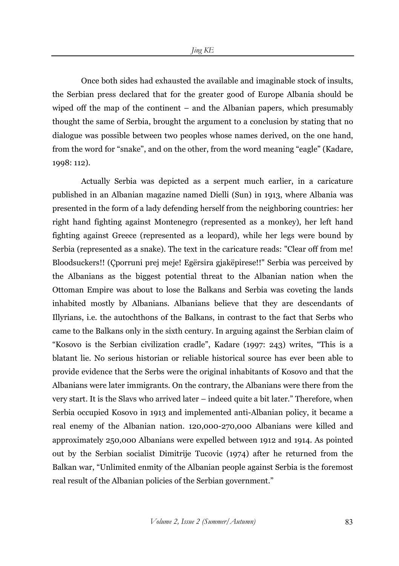Once both sides had exhausted the available and imaginable stock of insults, the Serbian press declared that for the greater good of Europe Albania should be wiped off the map of the continent – and the Albanian papers, which presumably thought the same of Serbia, brought the argument to a conclusion by stating that no dialogue was possible between two peoples whose names derived, on the one hand, from the word for "snake", and on the other, from the word meaning "eagle" (Kadare, 1998: 112).

Actually Serbia was depicted as a serpent much earlier, in a caricature published in an Albanian magazine named Dielli (Sun) in 1913, where Albania was presented in the form of a lady defending herself from the neighboring countries: her right hand fighting against Montenegro (represented as a monkey), her left hand fighting against Greece (represented as a leopard), while her legs were bound by Serbia (represented as a snake). The text in the caricature reads: "Clear off from me! Bloodsuckers!! (Çporruni prej meje! Egërsira gjakëpirese!!" Serbia was perceived by the Albanians as the biggest potential threat to the Albanian nation when the Ottoman Empire was about to lose the Balkans and Serbia was coveting the lands inhabited mostly by Albanians. Albanians believe that they are descendants of Illyrians, i.e. the autochthons of the Balkans, in contrast to the fact that Serbs who came to the Balkans only in the sixth century. In arguing against the Serbian claim of "Kosovo is the Serbian civilization cradle", Kadare (1997: 243) writes, "This is a blatant lie. No serious historian or reliable historical source has ever been able to provide evidence that the Serbs were the original inhabitants of Kosovo and that the Albanians were later immigrants. On the contrary, the Albanians were there from the very start. It is the Slavs who arrived later – indeed quite a bit later." Therefore, when Serbia occupied Kosovo in 1913 and implemented anti-Albanian policy, it became a real enemy of the Albanian nation. 120,000-270,000 Albanians were killed and approximately 250,000 Albanians were expelled between 1912 and 1914. As pointed out by the Serbian socialist Dimitrije Tucovic (1974) after he returned from the Balkan war, "Unlimited enmity of the Albanian people against Serbia is the foremost real result of the Albanian policies of the Serbian government."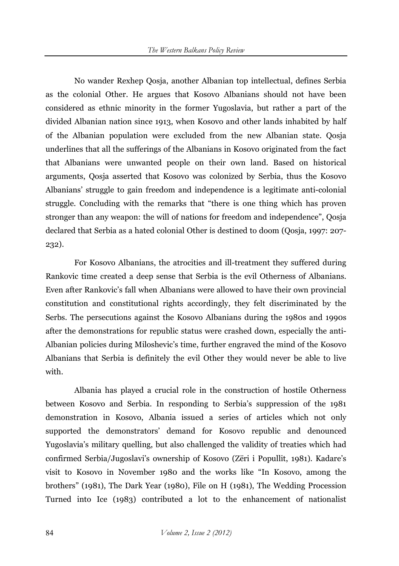No wander Rexhep Qosja, another Albanian top intellectual, defines Serbia as the colonial Other. He argues that Kosovo Albanians should not have been considered as ethnic minority in the former Yugoslavia, but rather a part of the divided Albanian nation since 1913, when Kosovo and other lands inhabited by half of the Albanian population were excluded from the new Albanian state. Qosja underlines that all the sufferings of the Albanians in Kosovo originated from the fact that Albanians were unwanted people on their own land. Based on historical arguments, Qosja asserted that Kosovo was colonized by Serbia, thus the Kosovo Albanians' struggle to gain freedom and independence is a legitimate anti-colonial struggle. Concluding with the remarks that "there is one thing which has proven stronger than any weapon: the will of nations for freedom and independence", Qosja declared that Serbia as a hated colonial Other is destined to doom (Qosja, 1997: 207- 232).

For Kosovo Albanians, the atrocities and ill-treatment they suffered during Rankovic time created a deep sense that Serbia is the evil Otherness of Albanians. Even after Rankovic's fall when Albanians were allowed to have their own provincial constitution and constitutional rights accordingly, they felt discriminated by the Serbs. The persecutions against the Kosovo Albanians during the 1980s and 1990s after the demonstrations for republic status were crashed down, especially the anti-Albanian policies during Miloshevic's time, further engraved the mind of the Kosovo Albanians that Serbia is definitely the evil Other they would never be able to live with.

Albania has played a crucial role in the construction of hostile Otherness between Kosovo and Serbia. In responding to Serbia's suppression of the 1981 demonstration in Kosovo, Albania issued a series of articles which not only supported the demonstrators' demand for Kosovo republic and denounced Yugoslavia's military quelling, but also challenged the validity of treaties which had confirmed Serbia/Jugoslavi's ownership of Kosovo (Zëri i Popullit, 1981). Kadare's visit to Kosovo in November 1980 and the works like "In Kosovo, among the brothers" (1981), The Dark Year (1980), File on H (1981), The Wedding Procession Turned into Ice (1983) contributed a lot to the enhancement of nationalist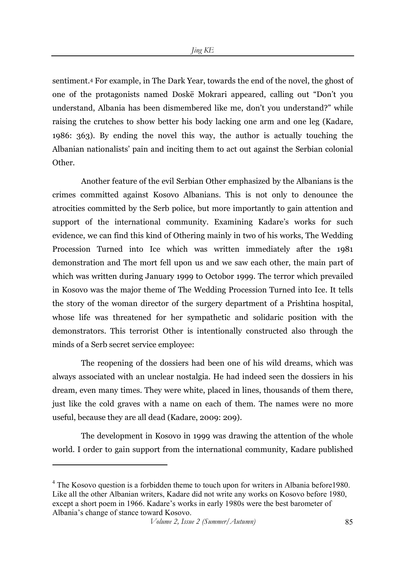sentiment.4 For example, in The Dark Year, towards the end of the novel, the ghost of one of the protagonists named Doskë Mokrari appeared, calling out "Don't you understand, Albania has been dismembered like me, don't you understand?" while raising the crutches to show better his body lacking one arm and one leg (Kadare, 1986: 363). By ending the novel this way, the author is actually touching the Albanian nationalists' pain and inciting them to act out against the Serbian colonial Other.

Another feature of the evil Serbian Other emphasized by the Albanians is the crimes committed against Kosovo Albanians. This is not only to denounce the atrocities committed by the Serb police, but more importantly to gain attention and support of the international community. Examining Kadare's works for such evidence, we can find this kind of Othering mainly in two of his works, The Wedding Procession Turned into Ice which was written immediately after the 1981 demonstration and The mort fell upon us and we saw each other, the main part of which was written during January 1999 to Octobor 1999. The terror which prevailed in Kosovo was the major theme of The Wedding Procession Turned into Ice. It tells the story of the woman director of the surgery department of a Prishtina hospital, whose life was threatened for her sympathetic and solidaric position with the demonstrators. This terrorist Other is intentionally constructed also through the minds of a Serb secret service employee:

The reopening of the dossiers had been one of his wild dreams, which was always associated with an unclear nostalgia. He had indeed seen the dossiers in his dream, even many times. They were white, placed in lines, thousands of them there, just like the cold graves with a name on each of them. The names were no more useful, because they are all dead (Kadare, 2009: 209).

The development in Kosovo in 1999 was drawing the attention of the whole world. I order to gain support from the international community, Kadare published

 $\overline{a}$ 

<sup>&</sup>lt;sup>4</sup> The Kosovo question is a forbidden theme to touch upon for writers in Albania before1980. Like all the other Albanian writers, Kadare did not write any works on Kosovo before 1980, except a short poem in 1966. Kadare's works in early 1980s were the best barometer of Albania's change of stance toward Kosovo.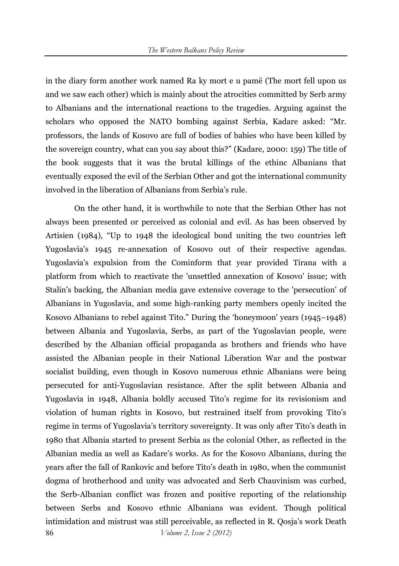in the diary form another work named Ra ky mort e u pamë (The mort fell upon us and we saw each other) which is mainly about the atrocities committed by Serb army to Albanians and the international reactions to the tragedies. Arguing against the scholars who opposed the NATO bombing against Serbia, Kadare asked: "Mr. professors, the lands of Kosovo are full of bodies of babies who have been killed by the sovereign country, what can you say about this?" (Kadare, 2000: 159) The title of the book suggests that it was the brutal killings of the ethinc Albanians that eventually exposed the evil of the Serbian Other and got the international community involved in the liberation of Albanians from Serbia's rule.

86 *Volume 2, Issue 2 (2012)*  On the other hand, it is worthwhile to note that the Serbian Other has not always been presented or perceived as colonial and evil. As has been observed by Artisien (1984), "Up to 1948 the ideological bond uniting the two countries left Yugoslavia's 1945 re-annexation of Kosovo out of their respective agendas. Yugoslavia's expulsion from the Cominform that year provided Tirana with a platform from which to reactivate the 'unsettled annexation of Kosovo' issue; with Stalin's backing, the Albanian media gave extensive coverage to the 'persecution' of Albanians in Yugoslavia, and some high-ranking party members openly incited the Kosovo Albanians to rebel against Tito." During the 'honeymoon' years (1945–1948) between Albania and Yugoslavia, Serbs, as part of the Yugoslavian people, were described by the Albanian official propaganda as brothers and friends who have assisted the Albanian people in their National Liberation War and the postwar socialist building, even though in Kosovo numerous ethnic Albanians were being persecuted for anti-Yugoslavian resistance. After the split between Albania and Yugoslavia in 1948, Albania boldly accused Tito's regime for its revisionism and violation of human rights in Kosovo, but restrained itself from provoking Tito's regime in terms of Yugoslavia's territory sovereignty. It was only after Tito's death in 1980 that Albania started to present Serbia as the colonial Other, as reflected in the Albanian media as well as Kadare's works. As for the Kosovo Albanians, during the years after the fall of Rankovic and before Tito's death in 1980, when the communist dogma of brotherhood and unity was advocated and Serb Chauvinism was curbed, the Serb-Albanian conflict was frozen and positive reporting of the relationship between Serbs and Kosovo ethnic Albanians was evident. Though political intimidation and mistrust was still perceivable, as reflected in R. Qosja's work Death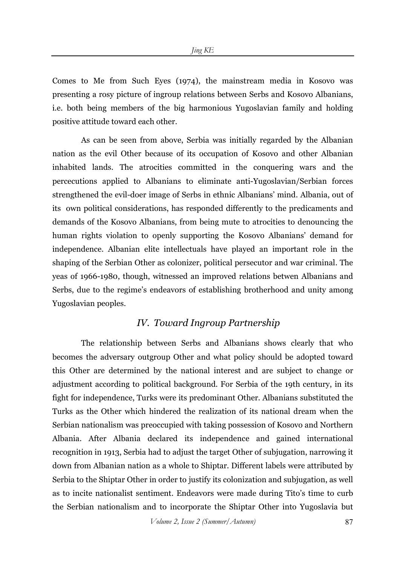Comes to Me from Such Eyes (1974), the mainstream media in Kosovo was presenting a rosy picture of ingroup relations between Serbs and Kosovo Albanians, i.e. both being members of the big harmonious Yugoslavian family and holding positive attitude toward each other.

As can be seen from above, Serbia was initially regarded by the Albanian nation as the evil Other because of its occupation of Kosovo and other Albanian inhabited lands. The atrocities committed in the conquering wars and the percecutions applied to Albanians to eliminate anti-Yugoslavian/Serbian forces strengthened the evil-doer image of Serbs in ethnic Albanians' mind. Albania, out of its own political considerations, has responded differently to the predicaments and demands of the Kosovo Albanians, from being mute to atrocities to denouncing the human rights violation to openly supporting the Kosovo Albanians' demand for independence. Albanian elite intellectuals have played an important role in the shaping of the Serbian Other as colonizer, political persecutor and war criminal. The yeas of 1966-1980, though, witnessed an improved relations betwen Albanians and Serbs, due to the regime's endeavors of establishing brotherhood and unity among Yugoslavian peoples.

### *IV. Toward Ingroup Partnership*

The relationship between Serbs and Albanians shows clearly that who becomes the adversary outgroup Other and what policy should be adopted toward this Other are determined by the national interest and are subject to change or adjustment according to political background. For Serbia of the 19th century, in its fight for independence, Turks were its predominant Other. Albanians substituted the Turks as the Other which hindered the realization of its national dream when the Serbian nationalism was preoccupied with taking possession of Kosovo and Northern Albania. After Albania declared its independence and gained international recognition in 1913, Serbia had to adjust the target Other of subjugation, narrowing it down from Albanian nation as a whole to Shiptar. Different labels were attributed by Serbia to the Shiptar Other in order to justify its colonization and subjugation, as well as to incite nationalist sentiment. Endeavors were made during Tito's time to curb the Serbian nationalism and to incorporate the Shiptar Other into Yugoslavia but

*Volume 2, Issue 2 (Summer/Autumn)* 87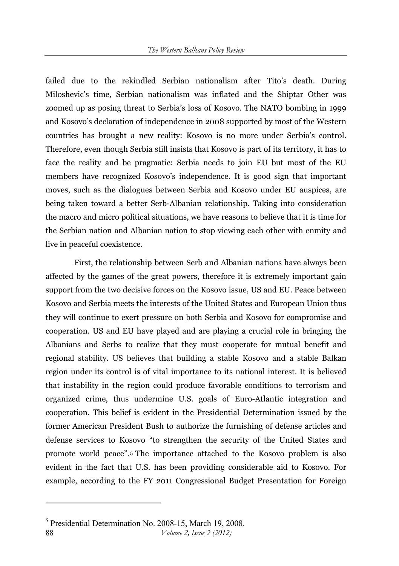failed due to the rekindled Serbian nationalism after Tito's death. During Miloshevic's time, Serbian nationalism was inflated and the Shiptar Other was zoomed up as posing threat to Serbia's loss of Kosovo. The NATO bombing in 1999 and Kosovo's declaration of independence in 2008 supported by most of the Western countries has brought a new reality: Kosovo is no more under Serbia's control. Therefore, even though Serbia still insists that Kosovo is part of its territory, it has to face the reality and be pragmatic: Serbia needs to join EU but most of the EU members have recognized Kosovo's independence. It is good sign that important moves, such as the dialogues between Serbia and Kosovo under EU auspices, are being taken toward a better Serb-Albanian relationship. Taking into consideration the macro and micro political situations, we have reasons to believe that it is time for the Serbian nation and Albanian nation to stop viewing each other with enmity and live in peaceful coexistence.

First, the relationship between Serb and Albanian nations have always been affected by the games of the great powers, therefore it is extremely important gain support from the two decisive forces on the Kosovo issue, US and EU. Peace between Kosovo and Serbia meets the interests of the United States and European Union thus they will continue to exert pressure on both Serbia and Kosovo for compromise and cooperation. US and EU have played and are playing a crucial role in bringing the Albanians and Serbs to realize that they must cooperate for mutual benefit and regional stability. US believes that building a stable Kosovo and a stable Balkan region under its control is of vital importance to its national interest. It is believed that instability in the region could produce favorable conditions to terrorism and organized crime, thus undermine U.S. goals of Euro-Atlantic integration and cooperation. This belief is evident in the Presidential Determination issued by the former American President Bush to authorize the furnishing of defense articles and defense services to Kosovo "to strengthen the security of the United States and promote world peace".5 The importance attached to the Kosovo problem is also evident in the fact that U.S. has been providing considerable aid to Kosovo. For example, according to the FY 2011 Congressional Budget Presentation for Foreign

 $\overline{a}$ 

<sup>88</sup> *Volume 2, Issue 2 (2012)*  5 Presidential Determination No. 2008-15, March 19, 2008.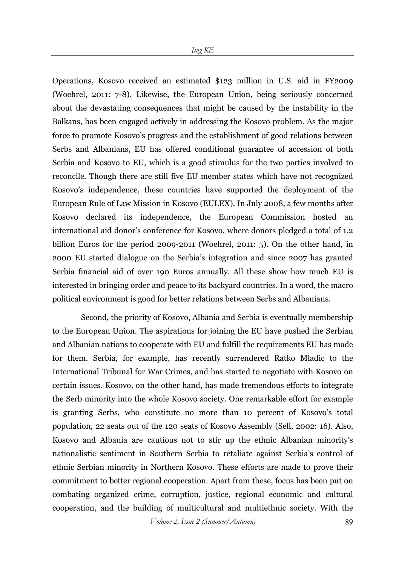Operations, Kosovo received an estimated \$123 million in U.S. aid in FY2009 (Woehrel, 2011: 7-8). Likewise, the European Union, being seriously concerned about the devastating consequences that might be caused by the instability in the Balkans, has been engaged actively in addressing the Kosovo problem. As the major force to promote Kosovo's progress and the establishment of good relations between Serbs and Albanians, EU has offered conditional guarantee of accession of both Serbia and Kosovo to EU, which is a good stimulus for the two parties involved to reconcile. Though there are still five EU member states which have not recognized Kosovo's independence, these countries have supported the deployment of the European Rule of Law Mission in Kosovo (EULEX). In July 2008, a few months after Kosovo declared its independence, the European Commission hosted an international aid donor's conference for Kosovo, where donors pledged a total of 1.2 billion Euros for the period 2009-2011 (Woehrel, 2011: 5). On the other hand, in 2000 EU started dialogue on the Serbia's integration and since 2007 has granted Serbia financial aid of over 190 Euros annually. All these show how much EU is interested in bringing order and peace to its backyard countries. In a word, the macro political environment is good for better relations between Serbs and Albanians.

Second, the priority of Kosovo, Albania and Serbia is eventually membership to the European Union. The aspirations for joining the EU have pushed the Serbian and Albanian nations to cooperate with EU and fulfill the requirements EU has made for them. Serbia, for example, has recently surrendered Ratko Mladic to the International Tribunal for War Crimes, and has started to negotiate with Kosovo on certain issues. Kosovo, on the other hand, has made tremendous efforts to integrate the Serb minority into the whole Kosovo society. One remarkable effort for example is granting Serbs, who constitute no more than 10 percent of Kosovo's total population, 22 seats out of the 120 seats of Kosovo Assembly (Sell, 2002: 16). Also, Kosovo and Albania are cautious not to stir up the ethnic Albanian minority's nationalistic sentiment in Southern Serbia to retaliate against Serbia's control of ethnic Serbian minority in Northern Kosovo. These efforts are made to prove their commitment to better regional cooperation. Apart from these, focus has been put on combating organized crime, corruption, justice, regional economic and cultural cooperation, and the building of multicultural and multiethnic society. With the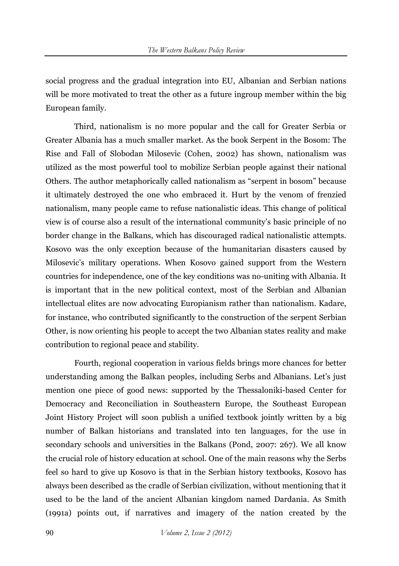social progress and the gradual integration into EU, Albanian and Serbian nations will be more motivated to treat the other as a future ingroup member within the big European family.

Third, nationalism is no more popular and the call for Greater Serbia or Greater Albania has a much smaller market. As the book Serpent in the Bosom: The Rise and Fall of Slobodan Milosevic (Cohen, 2002) has shown, nationalism was utilized as the most powerful tool to mobilize Serbian people against their national Others. The author metaphorically called nationalism as "serpent in bosom" because it ultimately destroyed the one who embraced it. Hurt by the venom of frenzied nationalism, many people came to refuse nationalistic ideas. This change of political view is of course also a result of the international community's basic principle of no border change in the Balkans, which has discouraged radical nationalistic attempts. Kosovo was the only exception because of the humanitarian disasters caused by Milosevic's military operations. When Kosovo gained support from the Western countries for independence, one of the key conditions was no-uniting with Albania. It is important that in the new political context, most of the Serbian and Albanian intellectual elites are now advocating Europianism rather than nationalism. Kadare, for instance, who contributed significantly to the construction of the serpent Serbian Other, is now orienting his people to accept the two Albanian states reality and make contribution to regional peace and stability.

Fourth, regional cooperation in various fields brings more chances for better understanding among the Balkan peoples, including Serbs and Albanians. Let's just mention one piece of good news: supported by the Thessaloniki-based Center for Democracy and Reconciliation in Southeastern Europe, the Southeast European Joint History Project will soon publish a unified textbook jointly written by a big number of Balkan historians and translated into ten languages, for the use in secondary schools and universities in the Balkans (Pond, 2007: 267). We all know the crucial role of history education at school. One of the main reasons why the Serbs feel so hard to give up Kosovo is that in the Serbian history textbooks, Kosovo has always been described as the cradle of Serbian civilization, without mentioning that it used to be the land of the ancient Albanian kingdom named Dardania. As Smith (1991a) points out, if narratives and imagery of the nation created by the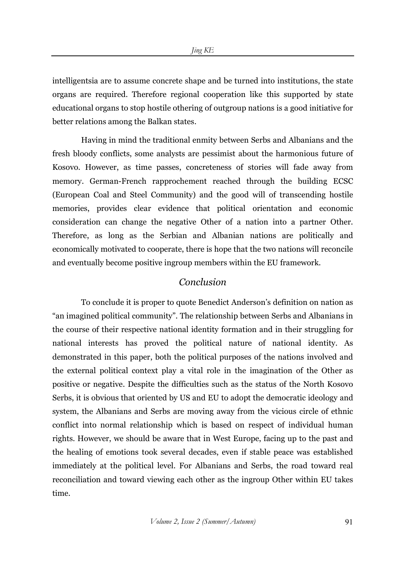intelligentsia are to assume concrete shape and be turned into institutions, the state organs are required. Therefore regional cooperation like this supported by state educational organs to stop hostile othering of outgroup nations is a good initiative for better relations among the Balkan states.

Having in mind the traditional enmity between Serbs and Albanians and the fresh bloody conflicts, some analysts are pessimist about the harmonious future of Kosovo. However, as time passes, concreteness of stories will fade away from memory. German-French rapprochement reached through the building ECSC (European Coal and Steel Community) and the good will of transcending hostile memories, provides clear evidence that political orientation and economic consideration can change the negative Other of a nation into a partner Other. Therefore, as long as the Serbian and Albanian nations are politically and economically motivated to cooperate, there is hope that the two nations will reconcile and eventually become positive ingroup members within the EU framework.

#### *Conclusion*

To conclude it is proper to quote Benedict Anderson's definition on nation as "an imagined political community". The relationship between Serbs and Albanians in the course of their respective national identity formation and in their struggling for national interests has proved the political nature of national identity. As demonstrated in this paper, both the political purposes of the nations involved and the external political context play a vital role in the imagination of the Other as positive or negative. Despite the difficulties such as the status of the North Kosovo Serbs, it is obvious that oriented by US and EU to adopt the democratic ideology and system, the Albanians and Serbs are moving away from the vicious circle of ethnic conflict into normal relationship which is based on respect of individual human rights. However, we should be aware that in West Europe, facing up to the past and the healing of emotions took several decades, even if stable peace was established immediately at the political level. For Albanians and Serbs, the road toward real reconciliation and toward viewing each other as the ingroup Other within EU takes time.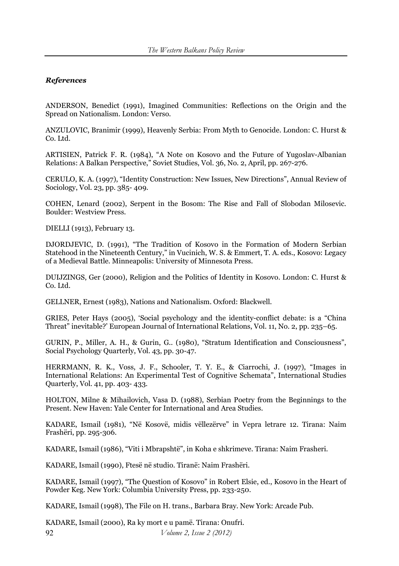#### *References*

ANDERSON, Benedict (1991), Imagined Communities: Reflections on the Origin and the Spread on Nationalism. London: Verso.

ANZULOVIC, Branimir (1999), Heavenly Serbia: From Myth to Genocide. London: C. Hurst & Co. Ltd.

ARTISIEN, Patrick F. R. (1984), "A Note on Kosovo and the Future of Yugoslav-Albanian Relations: A Balkan Perspective," Soviet Studies, Vol. 36, No. 2, April, pp. 267-276.

CERULO, K. A. (1997), "Identity Construction: New Issues, New Directions", Annual Review of Sociology, Vol. 23, pp. 385- 409.

COHEN, Lenard (2002), Serpent in the Bosom: The Rise and Fall of Slobodan Milosevic. Boulder: Westview Press.

DIELLI (1913), February 13.

DJORDJEVIC, D. (1991), "The Tradition of Kosovo in the Formation of Modern Serbian Statehood in the Nineteenth Century," in Vucinich, W. S. & Emmert, T. A. eds., Kosovo: Legacy of a Medieval Battle. Minneapolis: University of Minnesota Press.

DUIJZINGS, Ger (2000), Religion and the Politics of Identity in Kosovo. London: C. Hurst & Co. Ltd.

GELLNER, Ernest (1983), Nations and Nationalism. Oxford: Blackwell.

GRIES, Peter Hays (2005), 'Social psychology and the identity-conflict debate: is a "China Threat" inevitable?' European Journal of International Relations, Vol. 11, No. 2, pp. 235–65.

GURIN, P., Miller, A. H., & Gurin, G.. (1980), "Stratum Identification and Consciousness", Social Psychology Quarterly, Vol. 43, pp. 30-47.

HERRMANN, R. K., Voss, J. F., Schooler, T. Y. E., & Ciarrochi, J. (1997), "Images in International Relations: An Experimental Test of Cognitive Schemata", International Studies Quarterly, Vol. 41, pp. 403- 433.

HOLTON, Milne & Mihailovich, Vasa D. (1988), Serbian Poetry from the Beginnings to the Present. New Haven: Yale Center for International and Area Studies.

KADARE, Ismail (1981), "Në Kosovë, midis vëllezërve" in Vepra letrare 12. Tirana: Naim Frashëri, pp. 295-306.

KADARE, Ismail (1986), "Viti i Mbrapshtë", in Koha e shkrimeve. Tirana: Naim Frasheri.

KADARE, Ismail (1990), Ftesë në studio. Tiranë: Naim Frashëri.

KADARE, Ismail (1997), "The Question of Kosovo" in Robert Elsie, ed., Kosovo in the Heart of Powder Keg. New York: Columbia University Press, pp. 233-250.

KADARE, Ismail (1998), The File on H. trans., Barbara Bray. New York: Arcade Pub.

92 *Volume 2, Issue 2 (2012)*  KADARE, Ismail (2000), Ra ky mort e u pamë. Tirana: Onufri.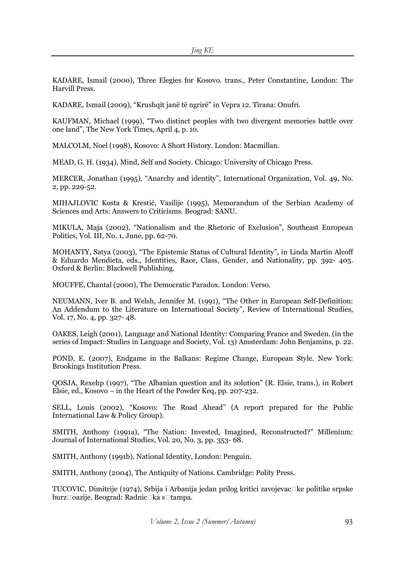KADARE, Ismail (2000), Three Elegies for Kosovo. trans., Peter Constantine, London: The Harvill Press.

KADARE, Ismail (2009), "Krushqit janë të ngrirë" in Vepra 12. Tirana: Onufri.

KAUFMAN, Michael (1999), "Two distinct peoples with two divergent memories battle over one land", The New York Times, April 4, p. 10.

MALCOLM, Noel (1998), Kosovo: A Short History. London: Macmillan.

MEAD, G. H. (1934), Mind, Self and Society. Chicago: University of Chicago Press.

MERCER, Jonathan (1995), "Anarchy and identity", International Organization, Vol. 49, No. 2, pp. 229-52.

MIHAJLOVIC Kosta & Krestić, Vasilije (1995), Memorandum of the Serbian Academy of Sciences and Arts: Answers to Criticisms. Beograd: SANU.

MIKULA, Maja (2002), "Nationalism and the Rhetoric of Exclusion", Southeast European Politics, Vol. III, No. 1, June, pp. 62-70.

MOHANTY, Satya (2003), "The Epistemic Status of Cultural Identity", in Linda Martin Alcoff & Eduardo Mendieta, eds., Identities, Race, Class, Gender, and Nationality, pp. 392- 405. Oxford & Berlin: Blackwell Publishing.

MOUFFE, Chantal (2000), The Democratic Paradox. London: Verso.

NEUMANN, Iver B. and Welsh, Jennifer M. (1991), "The Other in European Self-Definition: An Addendum to the Literature on International Society", Review of International Studies, Vol. 17, No. 4, pp. 327- 48.

OAKES, Leigh (2001), Language and National Identity: Comparing France and Sweden. (in the series of Impact: Studies in Language and Society, Vol. 13) Amsterdam: John Benjamins, p. 22.

POND, E. (2007), Endgame in the Balkans: Regime Change, European Style. New York: Brookings Institution Press.

QOSJA, Rexehp (1997), "The Albanian question and its solution" (R. Elsie, trans.), in Robert Elsie, ed., Kosovo – in the Heart of the Powder Keq, pp. 207-232.

SELL, Louis (2002), "Kosovo: The Road Ahead" (A report prepared for the Public International Law & Policy Group).

SMITH, Anthony (1991a), "The Nation: Invested, Imagined, Reconstructed?" Millenium: Journal of International Studies, Vol. 20, No. 3, pp. 353- 68.

SMITH, Anthony (1991b), National Identity, London: Penguin.

SMITH, Anthony (2004), The Antiquity of Nations. Cambridge: Polity Press.

TUCOVIC, Dimitrije (1974), Srbija i Arbanija jedan prilog kritici zavojevacCke politike srpske burzCoazije. Beograd: RadnicCka sCtampa.